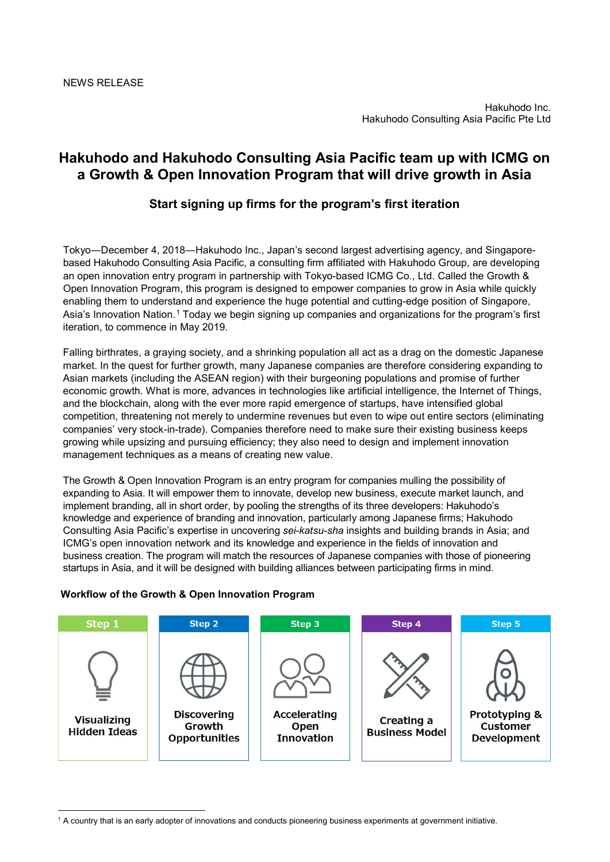## **Hakuhodo and Hakuhodo Consulting Asia Pacific team up with ICMG on a Growth & Open Innovation Program that will drive growth in Asia**

### **Start signing up firms for the program's first iteration**

Tokyo―December 4, 2018―Hakuhodo Inc., Japan's second largest advertising agency, and Singaporebased Hakuhodo Consulting Asia Pacific, a consulting firm affiliated with Hakuhodo Group, are developing an open innovation entry program in partnership with Tokyo-based ICMG Co., Ltd. Called the Growth & Open Innovation Program, this program is designed to empower companies to grow in Asia while quickly enabling them to understand and experience the huge potential and cutting-edge position of Singapore, Asia's Innovation Nation.[1](#page-0-0) Today we begin signing up companies and organizations for the program's first iteration, to commence in May 2019.

Falling birthrates, a graying society, and a shrinking population all act as a drag on the domestic Japanese market. In the quest for further growth, many Japanese companies are therefore considering expanding to Asian markets (including the ASEAN region) with their burgeoning populations and promise of further economic growth. What is more, advances in technologies like artificial intelligence, the Internet of Things, and the blockchain, along with the ever more rapid emergence of startups, have intensified global competition, threatening not merely to undermine revenues but even to wipe out entire sectors (eliminating companies' very stock-in-trade). Companies therefore need to make sure their existing business keeps growing while upsizing and pursuing efficiency; they also need to design and implement innovation management techniques as a means of creating new value.

The Growth & Open Innovation Program is an entry program for companies mulling the possibility of expanding to Asia. It will empower them to innovate, develop new business, execute market launch, and implement branding, all in short order, by pooling the strengths of its three developers: Hakuhodo's knowledge and experience of branding and innovation, particularly among Japanese firms; Hakuhodo Consulting Asia Pacific's expertise in uncovering *sei-katsu-sha* insights and building brands in Asia; and ICMG's open innovation network and its knowledge and experience in the fields of innovation and business creation. The program will match the resources of Japanese companies with those of pioneering startups in Asia, and it will be designed with building alliances between participating firms in mind.

# **Workflow of the Growth & Open Innovation Program**

-



<span id="page-0-0"></span><sup>1</sup> A country that is an early adopter of innovations and conducts pioneering business experiments at government initiative.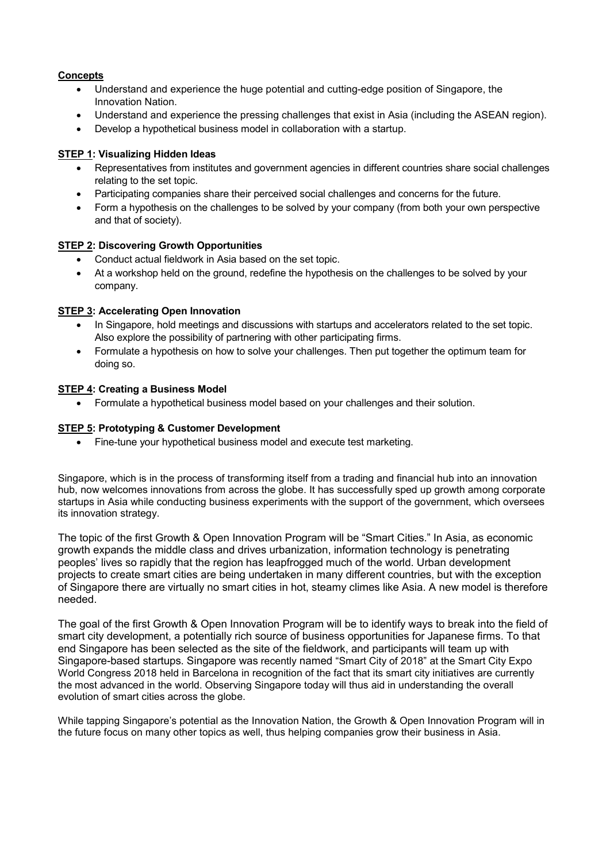#### **Concepts**

- Understand and experience the huge potential and cutting-edge position of Singapore, the Innovation Nation.
- Understand and experience the pressing challenges that exist in Asia (including the ASEAN region).
- Develop a hypothetical business model in collaboration with a startup.

#### **STEP 1: Visualizing Hidden Ideas**

- Representatives from institutes and government agencies in different countries share social challenges relating to the set topic.
- Participating companies share their perceived social challenges and concerns for the future.
- Form a hypothesis on the challenges to be solved by your company (from both your own perspective and that of society).

#### **STEP 2: Discovering Growth Opportunities**

- Conduct actual fieldwork in Asia based on the set topic.
- At a workshop held on the ground, redefine the hypothesis on the challenges to be solved by your company.

#### **STEP 3: Accelerating Open Innovation**

- In Singapore, hold meetings and discussions with startups and accelerators related to the set topic. Also explore the possibility of partnering with other participating firms.
- Formulate a hypothesis on how to solve your challenges. Then put together the optimum team for doing so.

#### **STEP 4: Creating a Business Model**

• Formulate a hypothetical business model based on your challenges and their solution.

#### **STEP 5: Prototyping & Customer Development**

• Fine-tune your hypothetical business model and execute test marketing.

Singapore, which is in the process of transforming itself from a trading and financial hub into an innovation hub, now welcomes innovations from across the globe. It has successfully sped up growth among corporate startups in Asia while conducting business experiments with the support of the government, which oversees its innovation strategy.

The topic of the first Growth & Open Innovation Program will be "Smart Cities." In Asia, as economic growth expands the middle class and drives urbanization, information technology is penetrating peoples' lives so rapidly that the region has leapfrogged much of the world. Urban development projects to create smart cities are being undertaken in many different countries, but with the exception of Singapore there are virtually no smart cities in hot, steamy climes like Asia. A new model is therefore needed.

The goal of the first Growth & Open Innovation Program will be to identify ways to break into the field of smart city development, a potentially rich source of business opportunities for Japanese firms. To that end Singapore has been selected as the site of the fieldwork, and participants will team up with Singapore-based startups. Singapore was recently named "Smart City of 2018" at the Smart City Expo World Congress 2018 held in Barcelona in recognition of the fact that its smart city initiatives are currently the most advanced in the world. Observing Singapore today will thus aid in understanding the overall evolution of smart cities across the globe.

While tapping Singapore's potential as the Innovation Nation, the Growth & Open Innovation Program will in the future focus on many other topics as well, thus helping companies grow their business in Asia.